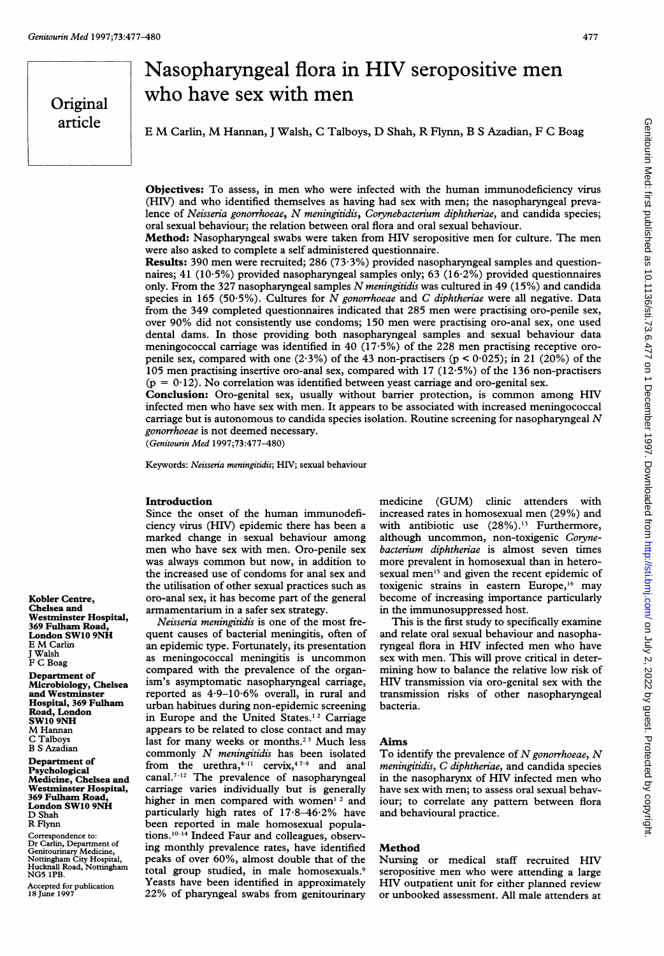## Original article

# Nasopharyngeal flora in HIV seropositive men who have sex with men

<sup>E</sup> M Carlin, M Hannan, <sup>J</sup> Walsh, <sup>C</sup> Talboys, D Shah, R Flynn, <sup>B</sup> <sup>S</sup> Azadian, <sup>F</sup> <sup>C</sup> Boag

Objectives: To assess, in men who were infected with the human immunodeficiency virus (HIV) and who identified themselves as having had sex with men; the nasopharyngeal prevalence of Neisseria gonorrhoeae, N meningitidis, Corynebacterium diphtheriae, and candida species; oral sexual behaviour; the relation between oral flora and oral sexual behaviour.

Method: Nasopharyngeal swabs were taken from HIV seropositive men for culture. The men were also asked to complete a self administered questionnaire.

Results: 390 men were recruited; 286 (73.3%) provided nasopharyngeal samples and questionnaires; 41 (10-5%) provided nasopharyngeal samples only; 63 (16-2%) provided questionnaires only. From the 327 nasopharyngeal samples N meningitidis was cultured in 49 (15%) and candida species in 165 (50.5%). Cultures for  $\bar{N}$  gonorrhoeae and C diphtheriae were all negative. Data from the 349 completed questionnaires indicated that 285 men were practising oro-penile sex, over 90% did not consistently use condoms; 150 men were practising oro-anal sex, one used dental dams. In those providing both nasopharyngeal samples and sexual behaviour data meningococcal carriage was identified in 40 (17-5%) of the 228 men practising receptive oropenile sex, compared with one (2.3%) of the 43 non-practisers ( $p < 0.025$ ); in 21 (20%) of the 105 men practising insertive oro-anal sex, compared with 17 (12.5%) of the 136 non-practisers  $(p = 0.12)$ . No correlation was identified between yeast carriage and oro-genital sex.

Conclusion: Oro-genital sex, usually without barrier protection, is common among HIV infected men who have sex with men. It appears to be associated with increased meningococcal carriage but is autonomous to candida species isolation. Routine screening for nasopharyngeal  $N$ gonorrhoeae is not deemed necessary.

(Genitourin Med 1997;73:477-480)

Keywords: Neisseria meningitidis; HIV; sexual behaviour

#### Introduction

Since the onset of the human immunodeficiency virus (HIV) epidemic there has been a marked change in sexual behaviour among men who have sex with men. Oro-penile sex was always common but now, in addition to the increased use of condoms for anal sex and the utilisation of other sexual practices such as oro-anal sex, it has become part of the general armamentarium in a safer sex strategy.

Neisseria meningitidis is one of the most frequent causes of bacterial meningitis, often of an epidemic type. Fortunately, its presentation as meningococcal meningitis is uncommon compared with the prevalence of the organism's asymptomatic nasopharyngeal carriage, reported as 4.9-10-6% overall, in rural and urban habitues during non-epidemic screening in Europe and the United States.'2 Carriage appears to be related to close contact and may last for many weeks or months.<sup>23</sup> Much less commonly N meningitidis has been isolated from the urethra,<sup>4-11</sup> cervix,<sup>47-9</sup> and anal canal.<sup>7-12</sup> The prevalence of nasopharyngeal carriage varies individually but is generally higher in men compared with women<sup>12</sup> and particularly high rates of  $17.8-46.2\%$  have been reported in male homosexual populations.<sup>10-14</sup> Indeed Faur and colleagues, observing monthly prevalence rates, have identified peaks of over 60%, almost double that of the total group studied, in male homosexuals.9 Yeasts have been identified in approximately 22% of pharyngeal swabs from genitourinary

medicine (GUM) clinic attenders with increased rates in homosexual men (29%) and with antibiotic use (28%).<sup>13</sup> Furthermore, although uncommon, non-toxigenic Corynebacterium diphtheriae is almost seven times more prevalent in homosexual than in heterosexual men<sup>15</sup> and given the recent epidemic of toxigenic strains in eastern Europe,'6 may become of increasing importance particularly in the immunosuppressed host.

This is the first study to specifically examine and relate oral sexual behaviour and nasopharyngeal flora in HIV infected men who have sex with men. This will prove critical in determining how to balance the relative low risk of HIV transmission via oro-genital sex with the transmission risks of other nasopharyngeal bacteria.

#### Aims

To identify the prevalence of  $N$  gonorrhoeae,  $N$ meningitidis, C diphtheriae, and candida species in the nasopharynx of HIV infected men who have sex with men; to assess oral sexual behaviour; to correlate any pattern between flora and behavioural practice.

### Method

Nursing or medical staff recruited HIV seropositive men who were attending <sup>a</sup> large HIV outpatient unit for either planned review or unbooked assessment. All male attenders at

Kobler Centre, Chelsea and Westminster Hospital, 369 Fulham Road, London SW10 9NH <sup>E</sup> M Carlin J Walsh F C Boag Department of

Microbiology, Chelsea and Westminster Hospital, 369 Fulham Road, London SW10 9NH M Hannan C Talboys B S Azadian

Department of Psychological Medicine, Chelsea and Westminster Hospital, 369 Fulham Road, London SW10 9NH D Shah R Flynn

Correspondence to: Dr Carlin, Department of Genitourinary Medicine, Nottingham City Hospital, Hucknall Road, Nottingham NG5 1PB.

Accepted for publication 18 June 1997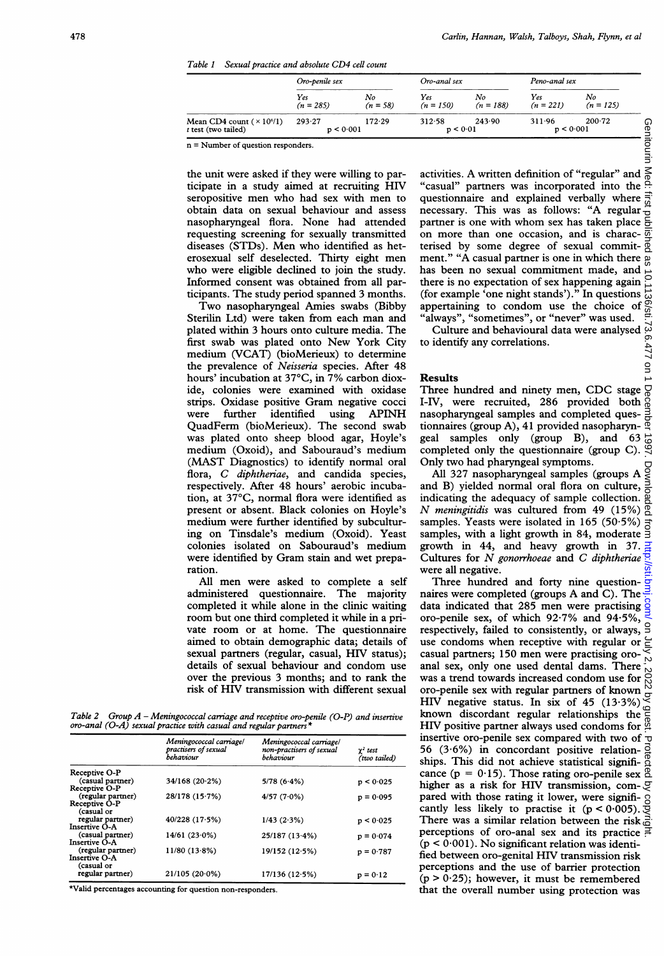|  |  |  |  |  |  | Table 1 Sexual practice and absolute CD4 cell count |
|--|--|--|--|--|--|-----------------------------------------------------|
|--|--|--|--|--|--|-----------------------------------------------------|

|                                                             | Oro-penile sex      |                  | Oro-anal sex       |                   | Peno-anal sex       |                   |
|-------------------------------------------------------------|---------------------|------------------|--------------------|-------------------|---------------------|-------------------|
|                                                             | Yes<br>$(n = 285)$  | No<br>$(n = 58)$ | Yes<br>$(n = 150)$ | No<br>$(n = 188)$ | Yes<br>$(n = 221)$  | No<br>$(n = 125)$ |
| Mean CD4 count $(\times 10^{6}/1)$<br>$t$ test (two tailed) | 293-27<br>p < 0.001 | 172.29           | 312.58<br>p < 0.01 | 243.90            | 311.96<br>p < 0.001 | 200.72            |

n = Number of question responders.

the unit were asked if they were willing to participate in <sup>a</sup> study aimed at recruiting HIV seropositive men who had sex with men to obtain data on sexual behaviour and assess nasopharyngeal flora. None had attended requesting screening for sexually transmitted diseases (STDs). Men who identified as heterosexual self deselected. Thirty eight men who were eligible declined to join the study. Informed consent was obtained from all participants. The study period spanned 3 months.

Two nasopharyngeal Amies swabs (Bibby Sterilin Ltd) were taken from each man and plated within 3 hours onto culture media. The first swab was plated onto New York City medium (VCAT) (bioMerieux) to determine the prevalence of Neisseria species. After 48 hours' incubation at 37°C, in 7% carbon dioxide, colonies were examined with oxidase strips. Oxidase positive Gram negative cocci were further identified using APINH QuadFerm (bioMerieux). The second swab was plated onto sheep blood agar, Hoyle's medium (Oxoid), and Sabouraud's medium (MAST Diagnostics) to identify normal oral flora, C diphtheriae, and candida species, respectively. After 48 hours' aerobic incubation, at 37°C, normal flora were identified as present or absent. Black colonies on Hoyle's medium were further identified by subculturing on Tinsdale's medium (Oxoid). Yeast colonies isolated on Sabouraud's medium were identified by Gram stain and wet preparation.

All men were asked to complete <sup>a</sup> self administered questionnaire. The majority completed it while alone in the clinic waiting room but one third completed it while in a private room or at home. The questionnaire aimed to obtain demographic data; details of sexual partners (regular, casual, HIV status); details of sexual behaviour and condom use over the previous 3 months; and to rank the risk of HIV transmission with different sexual

Table 2 Group  $A$  – Meningococcal carriage and receptive oro-penile (O-P) and insertive  $or$ -anal (O-A) sexual practice with casual and regular partners

|                             | Meningococcal carriage/<br>practisers of sexual<br>behaviour | Meningococcal carriage/<br>non-practisers of sexual<br>behaviour | $\gamma^2$ test<br>(two tailed) |
|-----------------------------|--------------------------------------------------------------|------------------------------------------------------------------|---------------------------------|
| Receptive O-P               |                                                              |                                                                  |                                 |
| (casual partner)            | 34/168(20.2%)                                                | 5/78(6.4%)                                                       | p < 0.025                       |
| Receptive O-P               |                                                              |                                                                  |                                 |
| (regular partner)           | 28/178 (15.7%)                                               | 4/57(7.0%)                                                       | $p = 0.095$                     |
| Receptive O-P<br>(casual or |                                                              |                                                                  |                                 |
| regular partner)            | 40/228(17.5%)                                                | $1/43$ $(2.3\%)$                                                 | p < 0.025                       |
| Insertive O-A               |                                                              |                                                                  |                                 |
| (casual partner)            | $14/61(23.0\%)$                                              | 25/187(13.4%)                                                    | $p = 0.074$                     |
| <b>Insertive O-A</b>        |                                                              |                                                                  |                                 |
| (regular partner)           | 11/80(13.8%)                                                 | 19/152(12.5%)                                                    | $p = 0.787$                     |
| <b>Insertive O-A</b>        |                                                              |                                                                  |                                 |
| (casual or                  |                                                              |                                                                  |                                 |
| regular partner)            | $21/105(20.0\%)$                                             | 17/136(12.5%)                                                    | $p = 0.12$                      |

\*Valid percentages accounting for question non-responders.

activities. A written definition of "regular" and "casual" partners was incorporated into the questionnaire and explained verbally where questionnaire and explained verbally where  $\frac{1}{34}$  necessary. This was as follows: "A regular  $\frac{1}{12}$ necessary. This was as follows: "A regular  $\frac{1}{2}$  partner is one with whom sex has taken place  $\frac{1}{2}$ on more than one occasion, and is charac- $\overline{\overline{\mathbb{Q}}}$ terised by some degree of sexual commit- $\frac{8}{9}$ ment." "A casual partner is one in which there  $\frac{1}{10}$ has been no sexual commitment made, and there is no expectation of sex happening again  $\frac{1}{4}$ there is no expectance of  $\frac{1}{2}$ . In questions  $\frac{1}{10}$ <br>(for example 'one night stands')." In questions  $\frac{1}{10}$ appertaining to condom use the choice of  $_{\alpha}^{\infty}$ "always", "sometimes", or "never" was used.

Culture and behavioural data were analysed  $\mathbb{Q}$ to identify any correlations.

g

#### Results

Three hundred and ninety men, CDC stage  $\frac{1}{\sqrt{2}}$ I-IV, were recruited, 286 provided both nasopharyngeal samples and completed questionnaires (group A), 41 provided nasopharyngeal samples only (group B), and 63 completed only the questionnaire (group C). Only two had pharyngeal symptoms.

hly two had pharyngeal symptoms.<br>All 327 nasopharyngeal samples (groups A  $\frac{1}{5}$ and B) yielded normal oral flora on culture, indicating the adequacy of sample collection. N meningitidis was cultured from 49 (15%)  $\overline{9}$ samples. Yeasts were isolated in  $165$  (50.5%) samples, 1 cases were isolated in 105 (50.5%)  $\frac{1}{5}$  samples, with a light growth in 84, moderate  $\frac{3}{5}$ growth in 44, and heavy growth in 37.  $\frac{1}{4}$ Cultures for N gonorrhoeae and C diphtheriae  $\frac{1}{2}$ were all negative.

Three hundred and forty nine question-  $\frac{1}{2}$ naires were completed (groups A and C). The data indicated that 285 men were practising  $\frac{8}{3}$ oro-penile sex, of which  $92.7\%$  and  $94.5\%$ , respectively, failed to consistently, or always, 9 use condoms when receptive with regular or  $\subseteq$ casual partners; 150 men were practising oroanal sex, only one used dental dams. There was a trend towards increased condom use for  $\frac{80}{60}$ oro-penile sex with regular partners of known  $\frac{10}{2}$ <br>HIV perstive status. In six of 45 (13.3%) HIV negative status. In six of  $45$  (13.3%) known discordant regular relationships the HIV positive partner always used condoms for  $\frac{5}{9}$ insertive oro-penile sex compared with two of  $\neg$ 56 (3.6%) in concordant positive relation- $\vec{a}$ ships. This did not achieve statistical signifi- 8 cance ( $p = 0.15$ ). Those rating oro-penile sex  $\frac{0}{0}$ higher as <sup>a</sup> risk for HIV transmission, compared with those rating it lower, were significantly less likely to practise it  $(p < 0.005)$ . There was a similar relation between the risk perceptions of oro-anal sex and its practice  $(p < 0.001)$ . No significant relation was identified between oro-genital HIV transmission risk perceptions and the use of barrier protection  $(p > 0.25)$ ; however, it must be remembered that the overall number using protection was Geniton Metatiinst published as 10.1136/sti.73.6.477 on 10-coember 1997. Downloaded from Med: first published as 10.1136/sti.73.6.477 on 1019. 2. 2022 by guest Protected by copyright.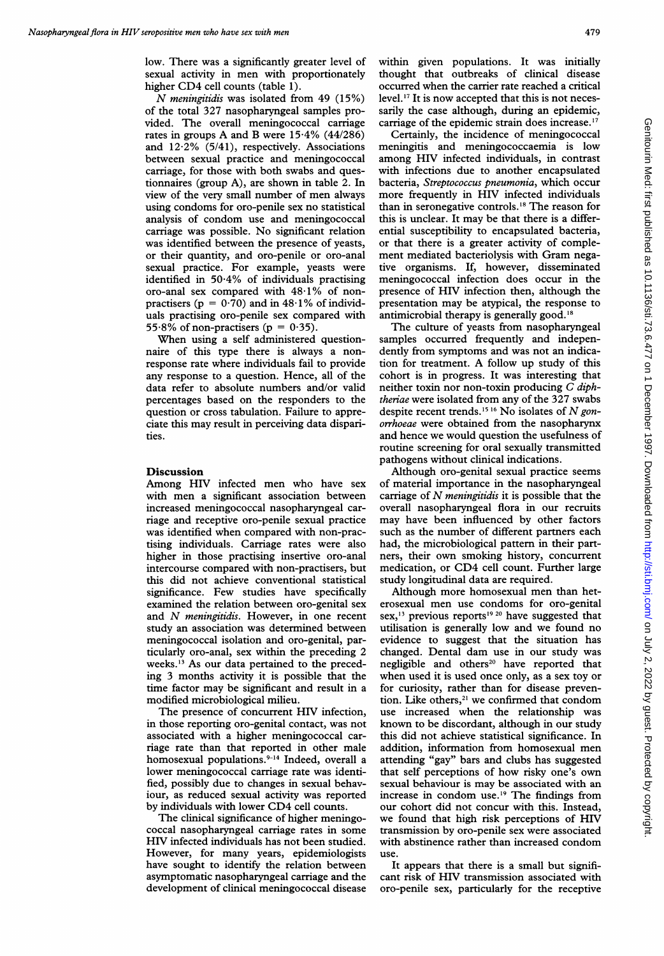N meningitidis was isolated from <sup>49</sup> (15%) of the total 327 nasopharyngeal samples provided. The overall meningococcal carriage rates in groups A and B were 15.4% (44/286) and 12-2% (5/41), respectively. Associations between sexual practice and meningococcal carriage, for those with both swabs and questionnaires (group A), are shown in table 2. In view of the very small number of men always using condoms for oro-penile sex no statistical analysis of condom use and meningococcal carriage was possible. No significant relation was identified between the presence of yeasts, or their quantity, and oro-penile or oro-anal sexual practice. For example, yeasts were identified in 50.4% of individuals practising oro-anal sex compared with 48.1% of nonpractisers ( $p = 0.70$ ) and in 48.1% of individuals practising oro-penile sex compared with 55.8% of non-practisers ( $p = 0.35$ ).

When using <sup>a</sup> self administered questionnaire of this type there is always a nonresponse rate where individuals fail to provide any response to a question. Hence, all of the data refer to absolute numbers and/or valid percentages based on the responders to the question or cross tabulation. Failure to appreciate this may result in perceiving data disparities.

#### **Discussion**

Among HIV infected men who have sex with men <sup>a</sup> significant association between increased meningococcal nasopharyngeal carriage and receptive oro-penile sexual practice was identified when compared with non-practising individuals. Carriage rates were also higher in those practising insertive oro-anal intercourse compared with non-practisers, but this did not achieve conventional statistical significance. Few studies have specifically examined the relation between oro-genital sex and N meningitidis. However, in one recent study an association was determined between meningococcal isolation and oro-genital, particularly oro-anal, sex within the preceding 2 weeks.'3 As our data pertained to the preceding 3 months activity it is possible that the time factor may be significant and result in <sup>a</sup> modified microbiological milieu.

The presence of concurrent HIV infection, in those reporting oro-genital contact, was not associated with a higher meningococcal carriage rate than that reported in other male homosexual populations.<sup>9-14</sup> Indeed, overall a lower meningococcal carriage rate was identified, possibly due to changes in sexual behaviour, as reduced sexual activity was reported by individuals with lower CD4 cell counts.

The clinical significance of higher meningococcal nasopharyngeal carriage rates in some HIV infected individuals has not been studied. However, for many years, epidemiologists have sought to identify the relation between asymptomatic nasopharyngeal carriage and the development of clinical meningococcal disease

within given populations. It was initially thought that outbreaks of clinical disease occurred when the carrier rate reached a critical level.'7 It is now accepted that this is not necessarily the case although, during an epidemic, carriage of the epidemic strain does increase.'7

Certainly, the incidence of meningococcal meningitis and meningococcaemia is low among HIV infected individuals, in contrast with infections due to another encapsulated bacteria, Streptococcus pneumonia, which occur more frequently in HIV infected individuals than in seronegative controls.'8 The reason for this is unclear. It may be that there is a differential susceptibility to encapsulated bacteria, or that there is a greater activity of complement mediated bacteriolysis with Gram negative organisms. If, however, disseminated meningococcal infection does occur in the presence of HIV infection then, although the presentation may be atypical, the response to antimicrobial therapy is generally good.'8

The culture of yeasts from nasopharyngeal samples occurred frequently and independently from symptoms and was not an indication for treatment. A follow up study of this cohort is in progress. It was interesting that neither toxin nor non-toxin producing C diphtheriae were isolated from any of the 327 swabs despite recent trends.<sup>15 16</sup> No isolates of N gonorrhoeae were obtained from the nasopharynx and hence we would question the usefulness of routine screening for oral sexually transmitted pathogens without clinical indications.

Although oro-genital sexual practice seems of material importance in the nasopharyngeal carriage of  $N$  *meningitidis* it is possible that the overall nasopharyngeal flora in our recruits may have been influenced by other factors such as the number of different partners each had, the microbiological pattern in their partners, their own smoking history, concurrent medication, or CD4 cell count. Further large study longitudinal data are required.

Although more homosexual men than heterosexual men use condoms for oro-genital sex,  $^{13}$  previous reports<sup>19 20</sup> have suggested that utilisation is generally low and we found no evidence to suggest that the situation has changed. Dental dam use in our study was negligible and others<sup>20</sup> have reported that when used it is used once only, as a sex toy or for curiosity, rather than for disease prevention. Like others,<sup>21</sup> we confirmed that condom use increased when the relationship was known to be discordant, although in our study this did not achieve statistical significance. In addition, information from homosexual men attending "gay" bars and clubs has suggested that self perceptions of how risky one's own sexual behaviour is may be associated with an increase in condom use.'9 The findings from our cohort did not concur with this. Instead, we found that high risk perceptions of HIV transmission by oro-penile sex were associated with abstinence rather than increased condom use.

It appears that there is a small but significant risk of HIV transmission associated with oro-penile sex, particularly for the receptive